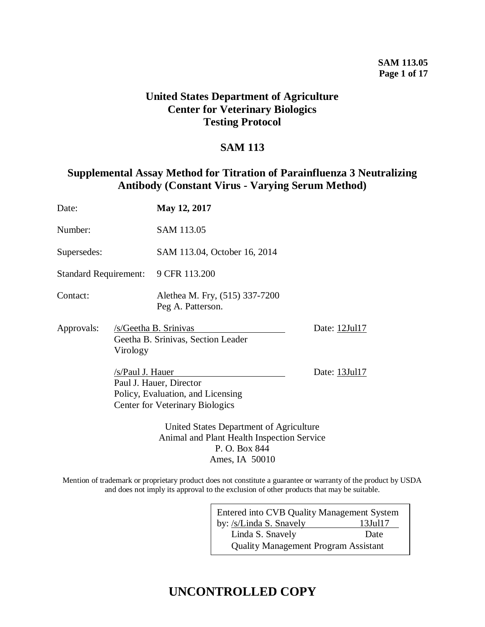## **SAM 113.05 Page 1 of 17**

## **United States Department of Agriculture Center for Veterinary Biologics Testing Protocol**

## **SAM 113**

## **Supplemental Assay Method for Titration of Parainfluenza 3 Neutralizing Antibody (Constant Virus - Varying Serum Method)**

| Date:                        |                  | May 12, 2017                                                                                           |               |  |  |  |  |  |
|------------------------------|------------------|--------------------------------------------------------------------------------------------------------|---------------|--|--|--|--|--|
| Number:                      |                  | SAM 113.05                                                                                             |               |  |  |  |  |  |
| Supersedes:                  |                  | SAM 113.04, October 16, 2014                                                                           |               |  |  |  |  |  |
| <b>Standard Requirement:</b> |                  | 9 CFR 113.200                                                                                          |               |  |  |  |  |  |
| Contact:                     |                  | Alethea M. Fry, (515) 337-7200<br>Peg A. Patterson.                                                    |               |  |  |  |  |  |
| Approvals:                   | Virology         | /s/Geetha B. Srinivas<br>Geetha B. Srinivas, Section Leader                                            | Date: 12Jul17 |  |  |  |  |  |
|                              | /s/Paul J. Hauer | Paul J. Hauer, Director<br>Policy, Evaluation, and Licensing<br><b>Center for Veterinary Biologics</b> | Date: 13Jul17 |  |  |  |  |  |
|                              |                  | United States Department of Agriculture<br>Animal and Plant Health Inspection Service<br>P. O. Box 844 |               |  |  |  |  |  |

Mention of trademark or proprietary product does not constitute a guarantee or warranty of the product by USDA and does not imply its approval to the exclusion of other products that may be suitable.

Ames, IA 50010

| Entered into CVB Quality Management System  |               |
|---------------------------------------------|---------------|
| by: /s/Linda S. Snavely                     | $13$ Jul $17$ |
| Linda S. Snavely                            | Date          |
| <b>Quality Management Program Assistant</b> |               |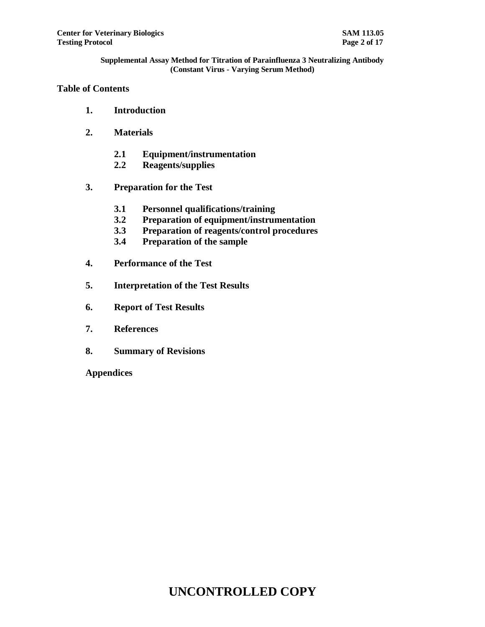## **Table of Contents**

- **1. Introduction**
- **2. Materials**
	- **2.1 Equipment/instrumentation**
	- **2.2 Reagents/supplies**
- **3. Preparation for the Test**
	- **3.1 Personnel qualifications/training**
	- **3.2 Preparation of equipment/instrumentation**
	- **3.3 Preparation of reagents/control procedures**
	- **3.4 Preparation of the sample**
- **4. Performance of the Test**
- **5. Interpretation of the Test Results**
- **6. Report of Test Results**
- **7. References**
- **8. Summary of Revisions**

**Appendices**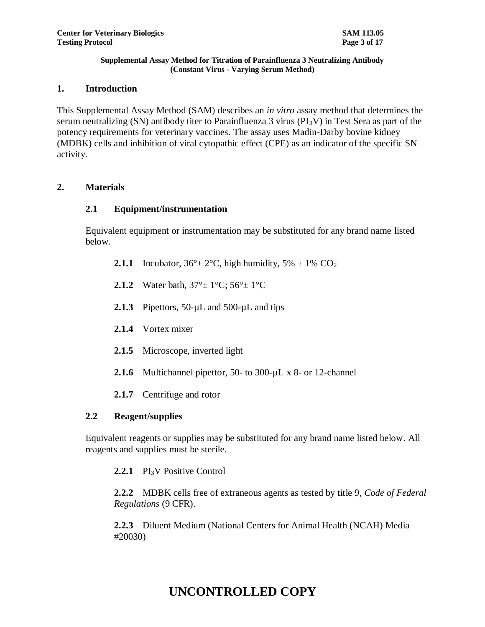## **1. Introduction**

This Supplemental Assay Method (SAM) describes an *in vitro* assay method that determines the serum neutralizing (SN) antibody titer to Parainfluenza 3 virus (PI<sub>3</sub>V) in Test Sera as part of the potency requirements for veterinary vaccines. The assay uses Madin-Darby bovine kidney (MDBK) cells and inhibition of viral cytopathic effect (CPE) as an indicator of the specific SN activity.

## **2. Materials**

## **2.1 Equipment/instrumentation**

Equivalent equipment or instrumentation may be substituted for any brand name listed below.

- **2.1.1** Incubator,  $36^\circ \pm 2^\circ \text{C}$ , high humidity,  $5\% \pm 1\%$  CO<sub>2</sub>
- **2.1.2** Water bath,  $37^{\circ}$  +  $1^{\circ}$ C;  $56^{\circ}$  +  $1^{\circ}$ C
- 2.1.3 Pipettors, 50-µL and 500-µL and tips
- **2.1.4** Vortex mixer
- **2.1.5** Microscope, inverted light
- 2.1.6 Multichannel pipettor, 50- to 300-µL x 8- or 12-channel
- **2.1.7** Centrifuge and rotor

## **2.2 Reagent/supplies**

Equivalent reagents or supplies may be substituted for any brand name listed below. All reagents and supplies must be sterile.

2.2.1 **PI<sub>3</sub>V** Positive Control

**2.2.2** MDBK cells free of extraneous agents as tested by title 9, *Code of Federal Regulations* (9 CFR).

**2.2.3** Diluent Medium (National Centers for Animal Health (NCAH) Media #20030)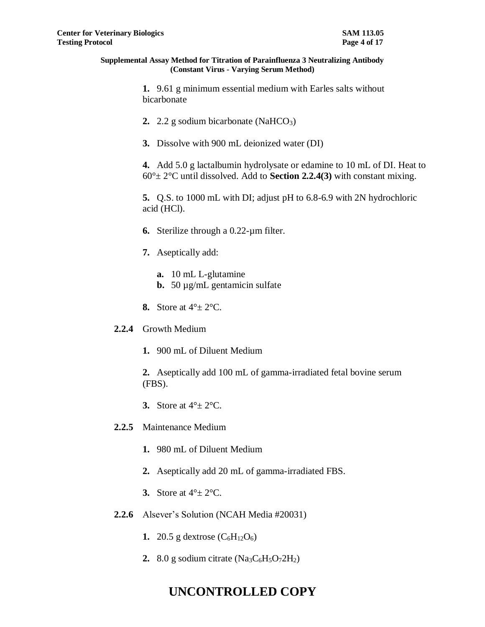**1.** 9.61 g minimum essential medium with Earles salts without bicarbonate

- **2.** 2.2 g sodium bicarbonate (NaHCO<sub>3</sub>)
- **3.** Dissolve with 900 mL deionized water (DI)

**4.** Add 5.0 g lactalbumin hydrolysate or edamine to 10 mL of DI. Heat to 60°± 2°C until dissolved. Add to **Section 2.2.4(3)** with constant mixing.

**5.** Q.S. to 1000 mL with DI; adjust pH to 6.8-6.9 with 2N hydrochloric acid (HCl).

- **6.** Sterilize through a 0.22-µm filter.
- **7.** Aseptically add:
	- **a.** 10 mL L-glutamine
	- **b.** 50 µg/mL gentamicin sulfate
- **8.** Store at 4°± 2°C.
- **2.2.4** Growth Medium
	- **1.** 900 mL of Diluent Medium

**2.** Aseptically add 100 mL of gamma-irradiated fetal bovine serum (FBS).

- **3.** Store at 4°± 2°C.
- **2.2.5** Maintenance Medium
	- **1.** 980 mL of Diluent Medium
	- **2.** Aseptically add 20 mL of gamma-irradiated FBS.
	- **3.** Store at  $4^\circ \pm 2^\circ \text{C}$ .
- **2.2.6** Alsever's Solution (NCAH Media #20031)
	- **1.** 20.5 g dextrose  $(C_6H_{12}O_6)$
	- 2.  $8.0$  g sodium citrate (Na<sub>3</sub>C<sub>6</sub>H<sub>5</sub>O<sub>7</sub>2H<sub>2</sub>)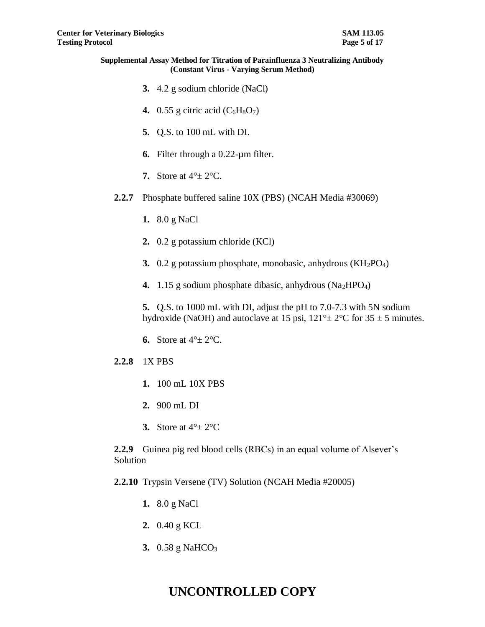- **3.** 4.2 g sodium chloride (NaCl)
- **4.**  $0.55$  g citric acid  $(C_6H_8O_7)$
- **5.** Q.S. to 100 mL with DI.
- **6.** Filter through a 0.22-µm filter.
- **7.** Store at  $4^\circ \pm 2^\circ \text{C}$ .
- **2.2.7** Phosphate buffered saline 10X (PBS) (NCAH Media #30069)
	- **1.** 8.0 g NaCl
	- **2.** 0.2 g potassium chloride (KCl)
	- **3.** 0.2 g potassium phosphate, monobasic, anhydrous (KH2PO4)
	- **4.** 1.15 g sodium phosphate dibasic, anhydrous (Na<sub>2</sub>HPO<sub>4</sub>)

**5.** Q.S. to 1000 mL with DI, adjust the pH to 7.0-7.3 with 5N sodium hydroxide (NaOH) and autoclave at 15 psi,  $121^\circ \pm 2^\circ \text{C}$  for  $35 \pm 5$  minutes.

**6.** Store at  $4^\circ \pm 2^\circ \text{C}$ .

## **2.2.8** 1X PBS

- **1.** 100 mL 10X PBS
- **2.** 900 mL DI
- **3.** Store at  $4^\circ \pm 2^\circ \text{C}$

**2.2.9** Guinea pig red blood cells (RBCs) in an equal volume of Alsever's Solution

- **2.2.10** Trypsin Versene (TV) Solution (NCAH Media #20005)
	- **1.** 8.0 g NaCl
	- **2.** 0.40 g KCL
	- **3.** 0.58 g NaHCO<sub>3</sub>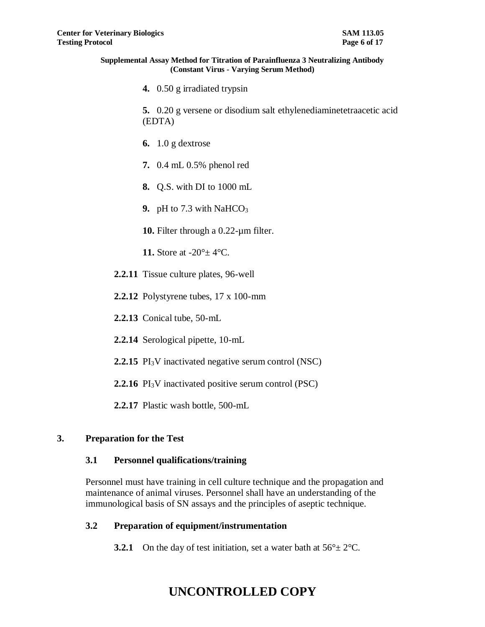**4.** 0.50 g irradiated trypsin

**5.** 0.20 g versene or disodium salt ethylenediaminetetraacetic acid (EDTA)

- **6.** 1.0 g dextrose
- **7.** 0.4 mL 0.5% phenol red
- **8.** Q.S. with DI to 1000 mL
- **9.** pH to 7.3 with NaHCO<sub>3</sub>
- **10.** Filter through a 0.22-µm filter.
- **11.** Store at -20°± 4°C.
- **2.2.11** Tissue culture plates, 96-well
- **2.2.12** Polystyrene tubes, 17 x 100-mm
- **2.2.13** Conical tube, 50-mL
- **2.2.14** Serological pipette, 10-mL
- **2.2.15** PI<sub>3</sub>V inactivated negative serum control (NSC)
- **2.2.16** PI<sub>3</sub>V inactivated positive serum control (PSC)
- **2.2.17** Plastic wash bottle, 500-mL

## **3. Preparation for the Test**

## **3.1 Personnel qualifications/training**

Personnel must have training in cell culture technique and the propagation and maintenance of animal viruses. Personnel shall have an understanding of the immunological basis of SN assays and the principles of aseptic technique.

## **3.2 Preparation of equipment/instrumentation**

**3.2.1** On the day of test initiation, set a water bath at  $56^\circ \pm 2^\circ \text{C}$ .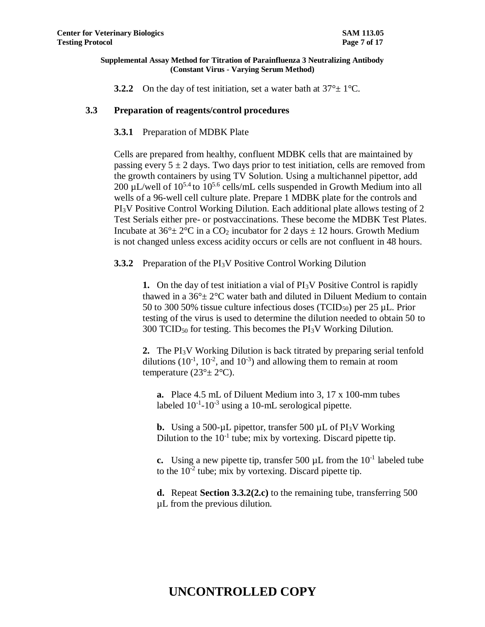**3.2.2** On the day of test initiation, set a water bath at  $37^\circ \pm 1^\circ \text{C}$ .

## **3.3 Preparation of reagents/control procedures**

## **3.3.1** Preparation of MDBK Plate

Cells are prepared from healthy, confluent MDBK cells that are maintained by passing every  $5 \pm 2$  days. Two days prior to test initiation, cells are removed from the growth containers by using TV Solution. Using a multichannel pipettor, add 200  $\mu$ L/well of 10<sup>5.4</sup> to 10<sup>5.6</sup> cells/mL cells suspended in Growth Medium into all wells of a 96-well cell culture plate. Prepare 1 MDBK plate for the controls and PI3V Positive Control Working Dilution. Each additional plate allows testing of 2 Test Serials either pre- or postvaccinations. These become the MDBK Test Plates. Incubate at  $36^{\circ} \pm 2^{\circ}$ C in a CO<sub>2</sub> incubator for 2 days  $\pm$  12 hours. Growth Medium is not changed unless excess acidity occurs or cells are not confluent in 48 hours.

**3.3.2** Preparation of the PI3V Positive Control Working Dilution

**1.** On the day of test initiation a vial of PI<sub>3</sub>V Positive Control is rapidly thawed in a  $36^{\circ}$  ±  $2^{\circ}$ C water bath and diluted in Diluent Medium to contain 50 to 300 50% tissue culture infectious doses (TCID50) per 25 µL. Prior testing of the virus is used to determine the dilution needed to obtain 50 to  $300$  TCID<sub>50</sub> for testing. This becomes the PI<sub>3</sub>V Working Dilution.

**2.** The PI3V Working Dilution is back titrated by preparing serial tenfold dilutions  $(10^{-1}, 10^{-2}, \text{ and } 10^{-3})$  and allowing them to remain at room temperature  $(23^\circ \pm 2^\circ \text{C})$ .

**a.** Place 4.5 mL of Diluent Medium into 3, 17 x 100-mm tubes labeled  $10^{-1}$ - $10^{-3}$  using a 10-mL serological pipette.

**b.** Using a 500-µL pipettor, transfer 500 µL of PI<sub>3</sub>V Working Dilution to the  $10^{-1}$  tube; mix by vortexing. Discard pipette tip.

**c.** Using a new pipette tip, transfer 500  $\mu$ L from the  $10^{-1}$  labeled tube to the  $10^{-2}$  tube; mix by vortexing. Discard pipette tip.

**d.** Repeat **Section 3.3.2(2.c)** to the remaining tube, transferring 500 µL from the previous dilution.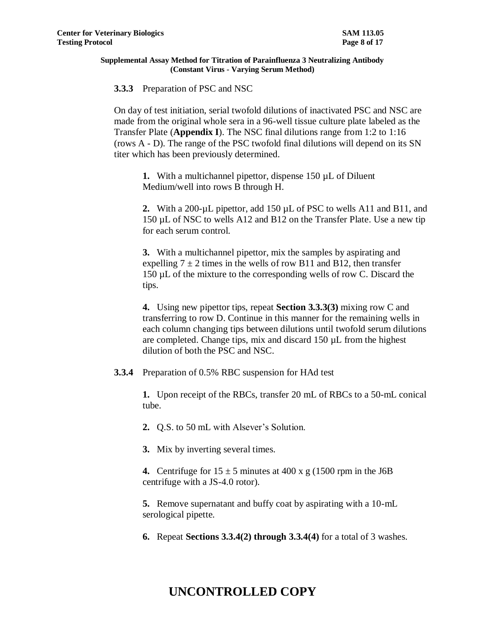**3.3.3** Preparation of PSC and NSC

On day of test initiation, serial twofold dilutions of inactivated PSC and NSC are made from the original whole sera in a 96-well tissue culture plate labeled as the Transfer Plate (**Appendix I**). The NSC final dilutions range from 1:2 to 1:16 (rows A - D). The range of the PSC twofold final dilutions will depend on its SN titer which has been previously determined.

**1.** With a multichannel pipettor, dispense 150 µL of Diluent Medium/well into rows B through H.

2. With a 200-µL pipettor, add 150 µL of PSC to wells A11 and B11, and 150 µL of NSC to wells A12 and B12 on the Transfer Plate. Use a new tip for each serum control.

**3.** With a multichannel pipettor, mix the samples by aspirating and expelling  $7 \pm 2$  times in the wells of row B11 and B12, then transfer 150 µL of the mixture to the corresponding wells of row C. Discard the tips.

**4.** Using new pipettor tips, repeat **Section 3.3.3(3)** mixing row C and transferring to row D. Continue in this manner for the remaining wells in each column changing tips between dilutions until twofold serum dilutions are completed. Change tips, mix and discard 150 µL from the highest dilution of both the PSC and NSC.

**3.3.4** Preparation of 0.5% RBC suspension for HAd test

**1.** Upon receipt of the RBCs, transfer 20 mL of RBCs to a 50-mL conical tube.

**2.** Q.S. to 50 mL with Alsever's Solution.

**3.** Mix by inverting several times.

**4.** Centrifuge for  $15 \pm 5$  minutes at 400 x g (1500 rpm in the J6B centrifuge with a JS-4.0 rotor).

**5.** Remove supernatant and buffy coat by aspirating with a 10-mL serological pipette.

**6.** Repeat **Sections 3.3.4(2) through 3.3.4(4)** for a total of 3 washes.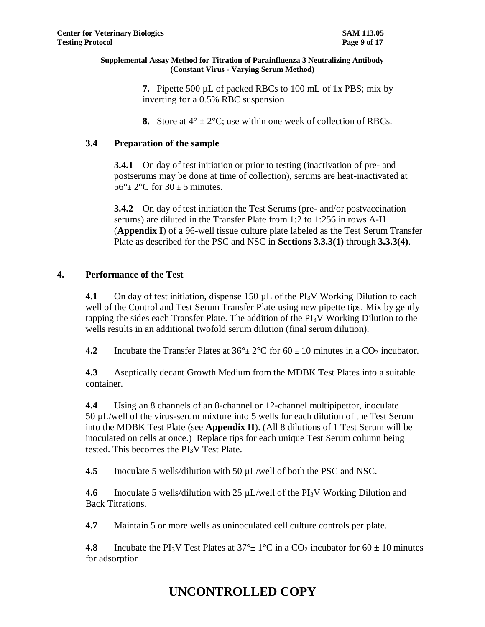**7.** Pipette 500 µL of packed RBCs to 100 mL of 1x PBS; mix by inverting for a 0.5% RBC suspension

**8.** Store at  $4^{\circ} \pm 2^{\circ}\text{C}$ ; use within one week of collection of RBCs.

## **3.4 Preparation of the sample**

**3.4.1** On day of test initiation or prior to testing (inactivation of pre- and postserums may be done at time of collection), serums are heat-inactivated at  $56^\circ \pm 2^\circ \text{C}$  for  $30 \pm 5$  minutes.

**3.4.2** On day of test initiation the Test Serums (pre- and/or postvaccination serums) are diluted in the Transfer Plate from 1:2 to 1:256 in rows A-H (**Appendix I**) of a 96-well tissue culture plate labeled as the Test Serum Transfer Plate as described for the PSC and NSC in **Sections 3.3.3(1)** through **3.3.3(4)**.

## **4. Performance of the Test**

**4.1** On day of test initiation, dispense 150 µL of the PI<sub>3</sub>V Working Dilution to each well of the Control and Test Serum Transfer Plate using new pipette tips. Mix by gently tapping the sides each Transfer Plate. The addition of the  $PI_3V$  Working Dilution to the wells results in an additional twofold serum dilution (final serum dilution).

**4.2** Incubate the Transfer Plates at  $36^\circ \pm 2^\circ \text{C}$  for  $60 \pm 10$  minutes in a CO<sub>2</sub> incubator.

**4.3** Aseptically decant Growth Medium from the MDBK Test Plates into a suitable container.

**4.4** Using an 8 channels of an 8-channel or 12-channel multipipettor, inoculate 50 µL/well of the virus-serum mixture into 5 wells for each dilution of the Test Serum into the MDBK Test Plate (see **Appendix II**). (All 8 dilutions of 1 Test Serum will be inoculated on cells at once.) Replace tips for each unique Test Serum column being tested. This becomes the PI3V Test Plate.

**4.5** Inoculate 5 wells/dilution with 50 µL/well of both the PSC and NSC.

**4.6** Inoculate 5 wells/dilution with 25 µL/well of the PI<sub>3</sub>V Working Dilution and Back Titrations.

**4.7** Maintain 5 or more wells as uninoculated cell culture controls per plate.

**4.8** Incubate the PI<sub>3</sub>V Test Plates at  $37^\circ \pm 1^\circ \text{C}$  in a CO<sub>2</sub> incubator for  $60 \pm 10$  minutes for adsorption.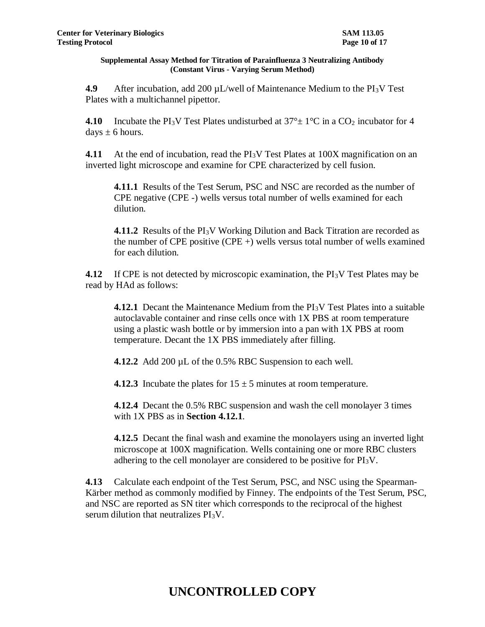**4.9** After incubation, add 200 µL/well of Maintenance Medium to the PI<sub>3</sub>V Test Plates with a multichannel pipettor.

**4.10** Incubate the PI<sub>3</sub>V Test Plates undisturbed at  $37^\circ \pm 1^\circ \text{C}$  in a CO<sub>2</sub> incubator for 4 days  $\pm$  6 hours.

**4.11** At the end of incubation, read the PI<sub>3</sub>V Test Plates at 100X magnification on an inverted light microscope and examine for CPE characterized by cell fusion.

**4.11.1** Results of the Test Serum, PSC and NSC are recorded as the number of CPE negative (CPE -) wells versus total number of wells examined for each dilution.

**4.11.2** Results of the PI<sub>3</sub>V Working Dilution and Back Titration are recorded as the number of CPE positive (CPE  $+$ ) wells versus total number of wells examined for each dilution.

**4.12** If CPE is not detected by microscopic examination, the PI<sub>3</sub>V Test Plates may be read by HAd as follows:

**4.12.1** Decant the Maintenance Medium from the PI3V Test Plates into a suitable autoclavable container and rinse cells once with 1X PBS at room temperature using a plastic wash bottle or by immersion into a pan with 1X PBS at room temperature. Decant the 1X PBS immediately after filling.

**4.12.2** Add 200 µL of the 0.5% RBC Suspension to each well.

**4.12.3** Incubate the plates for  $15 \pm 5$  minutes at room temperature.

**4.12.4** Decant the 0.5% RBC suspension and wash the cell monolayer 3 times with 1X PBS as in **Section 4.12.1**.

**4.12.5** Decant the final wash and examine the monolayers using an inverted light microscope at 100X magnification. Wells containing one or more RBC clusters adhering to the cell monolayer are considered to be positive for PI3V.

**4.13** Calculate each endpoint of the Test Serum, PSC, and NSC using the Spearman-Kärber method as commonly modified by Finney. The endpoints of the Test Serum, PSC, and NSC are reported as SN titer which corresponds to the reciprocal of the highest serum dilution that neutralizes PI3V.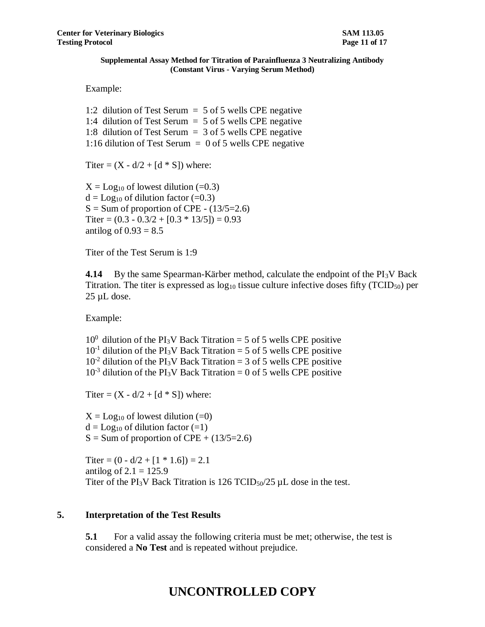Example:

1:2 dilution of Test Serum = 5 of 5 wells CPE negative 1:4 dilution of Test Serum = 5 of 5 wells CPE negative 1:8 dilution of Test Serum = 3 of 5 wells CPE negative 1:16 dilution of Test Serum = 0 of 5 wells CPE negative

Titer =  $(X - d/2 + [d * S])$  where:

 $X = Log_{10}$  of lowest dilution (=0.3)  $d = Log_{10}$  of dilution factor (=0.3)  $S = Sum$  of proportion of CPE -  $(13/5=2.6)$ Titer =  $(0.3 - 0.3/2 + [0.3 * 13/5]) = 0.93$ antilog of  $0.93 = 8.5$ 

Titer of the Test Serum is 1:9

**4.14** By the same Spearman-Kärber method, calculate the endpoint of the PI<sub>3</sub>V Back Titration. The titer is expressed as  $log_{10}$  tissue culture infective doses fifty (TCID<sub>50</sub>) per  $25 \mu L$  dose.

Example:

 $10^0$  dilution of the PI<sub>3</sub>V Back Titration = 5 of 5 wells CPE positive  $10^{-1}$  dilution of the PI<sub>3</sub>V Back Titration = 5 of 5 wells CPE positive  $10^{-2}$  dilution of the PI<sub>3</sub>V Back Titration = 3 of 5 wells CPE positive  $10^{-3}$  dilution of the PI<sub>3</sub>V Back Titration = 0 of 5 wells CPE positive

Titer =  $(X - d/2 + [d * S])$  where:

 $X = Log_{10}$  of lowest dilution (=0)  $d = Log_{10}$  of dilution factor  $(=1)$  $S = Sum of proportion of CPE + (13/5=2.6)$ 

Titer =  $(0 - d/2 + [1 * 1.6]) = 2.1$ antilog of  $2.1 = 125.9$ Titer of the PI<sub>3</sub>V Back Titration is  $126$  TCID<sub>50</sub>/25  $\mu$ L dose in the test.

## **5. Interpretation of the Test Results**

**5.1** For a valid assay the following criteria must be met; otherwise, the test is considered a **No Test** and is repeated without prejudice.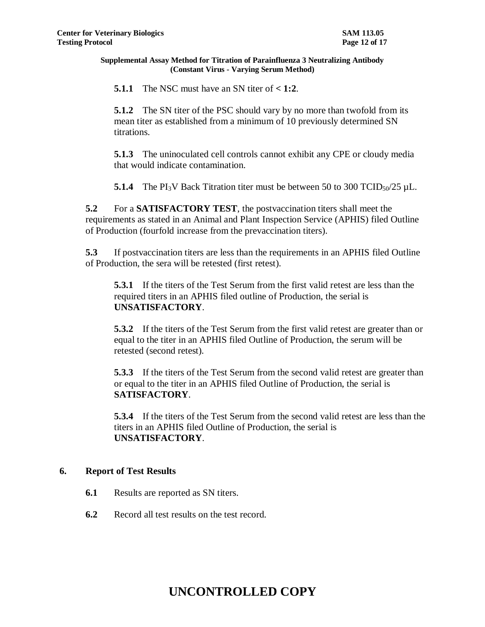**5.1.1** The NSC must have an SN titer of **< 1:2**.

**5.1.2** The SN titer of the PSC should vary by no more than twofold from its mean titer as established from a minimum of 10 previously determined SN titrations.

**5.1.3** The uninoculated cell controls cannot exhibit any CPE or cloudy media that would indicate contamination.

**5.1.4** The PI<sub>3</sub>V Back Titration titer must be between 50 to 300 TCID<sub>50</sub>/25  $\mu$ L.

**5.2** For a **SATISFACTORY TEST**, the postvaccination titers shall meet the requirements as stated in an Animal and Plant Inspection Service (APHIS) filed Outline of Production (fourfold increase from the prevaccination titers).

**5.3** If postvaccination titers are less than the requirements in an APHIS filed Outline of Production, the sera will be retested (first retest).

**5.3.1** If the titers of the Test Serum from the first valid retest are less than the required titers in an APHIS filed outline of Production, the serial is **UNSATISFACTORY**.

**5.3.2** If the titers of the Test Serum from the first valid retest are greater than or equal to the titer in an APHIS filed Outline of Production, the serum will be retested (second retest).

**5.3.3** If the titers of the Test Serum from the second valid retest are greater than or equal to the titer in an APHIS filed Outline of Production, the serial is **SATISFACTORY**.

**5.3.4** If the titers of the Test Serum from the second valid retest are less than the titers in an APHIS filed Outline of Production, the serial is **UNSATISFACTORY**.

## **6. Report of Test Results**

- **6.1** Results are reported as SN titers.
- **6.2** Record all test results on the test record.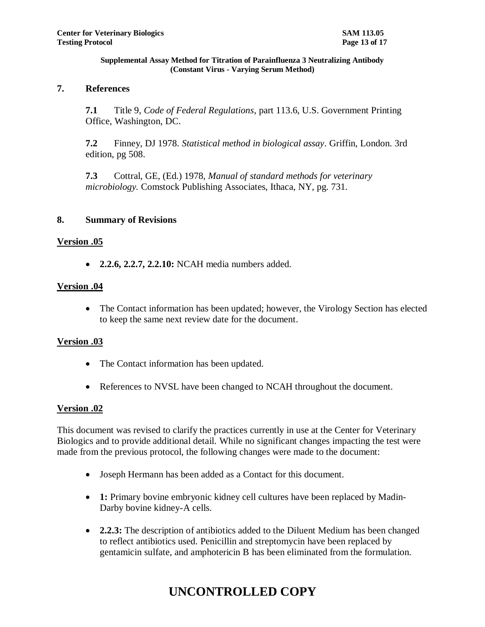## **7. References**

**7.1** Title 9, *Code of Federal Regulations*, part 113.6, U.S. Government Printing Office, Washington, DC.

**7.2** Finney, DJ 1978. *Statistical method in biological assay*. Griffin, London. 3rd edition, pg 508.

**7.3** Cottral, GE, (Ed.) 1978, *Manual of standard methods for veterinary microbiology.* Comstock Publishing Associates, Ithaca, NY, pg. 731.

## **8. Summary of Revisions**

## **Version .05**

**2.2.6, 2.2.7, 2.2.10:** NCAH media numbers added.

## **Version .04**

• The Contact information has been updated; however, the Virology Section has elected to keep the same next review date for the document.

## **Version .03**

- The Contact information has been updated.
- References to NVSL have been changed to NCAH throughout the document.

## **Version .02**

This document was revised to clarify the practices currently in use at the Center for Veterinary Biologics and to provide additional detail. While no significant changes impacting the test were made from the previous protocol, the following changes were made to the document:

- Joseph Hermann has been added as a Contact for this document.
- **1:** Primary bovine embryonic kidney cell cultures have been replaced by Madin-Darby bovine kidney-A cells.
- **2.2.3:** The description of antibiotics added to the Diluent Medium has been changed to reflect antibiotics used. Penicillin and streptomycin have been replaced by gentamicin sulfate, and amphotericin B has been eliminated from the formulation.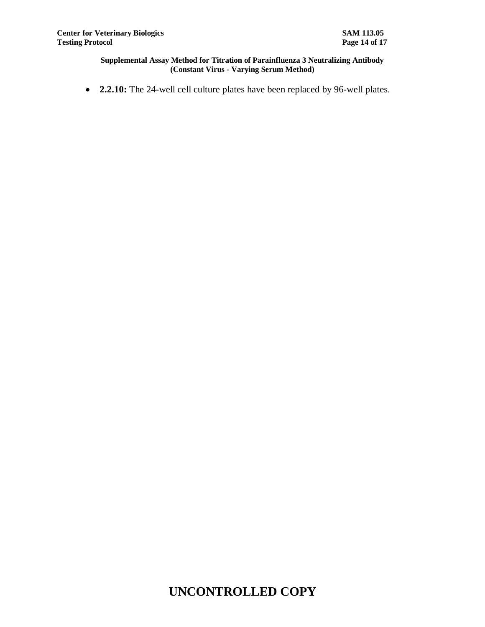**2.2.10:** The 24-well cell culture plates have been replaced by 96-well plates.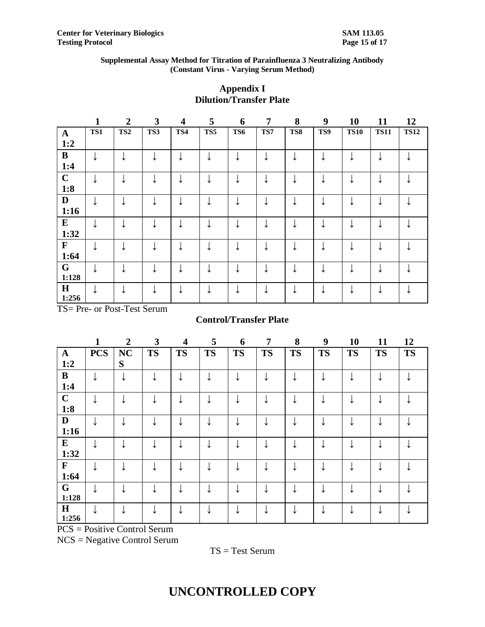|              | $\mathbf{1}$ | $\overline{2}$  | 3   | $\overline{\mathbf{4}}$ | 5   | 6   | $\overline{7}$ | 8   | 9   | 10          | 11          | 12          |
|--------------|--------------|-----------------|-----|-------------------------|-----|-----|----------------|-----|-----|-------------|-------------|-------------|
| $\mathbf{A}$ | TS1          | TS <sub>2</sub> | TS3 | TS4                     | TS5 | TS6 | TS7            | TS8 | TS9 | <b>TS10</b> | <b>TS11</b> | <b>TS12</b> |
| 1:2          |              |                 |     |                         |     |     |                |     |     |             |             |             |
| $\bf{B}$     |              |                 |     |                         |     | ↓   |                | ↓   | ໋   |             |             |             |
| 1:4          |              |                 |     |                         |     |     |                |     |     |             |             |             |
| $\mathbf C$  |              |                 |     |                         |     |     |                |     |     |             |             |             |
| 1:8          |              |                 |     |                         |     |     |                |     |     |             |             |             |
| $\mathbf{D}$ | ↓            |                 |     |                         |     | ↓   |                | ↓   | ↓   |             |             |             |
| 1:16         |              |                 |     |                         |     |     |                |     |     |             |             |             |
| ${\bf E}$    |              |                 |     |                         |     | ↓   |                |     |     |             |             |             |
| 1:32         |              |                 |     |                         |     |     |                |     |     |             |             |             |
| $\mathbf F$  | ◡            |                 |     |                         |     | ↓   |                |     | ໋   |             |             |             |
| 1:64         |              |                 |     |                         |     |     |                |     |     |             |             |             |
| G            |              |                 |     |                         |     | ◡   |                |     |     |             |             |             |
| 1:128        |              |                 |     |                         |     |     |                |     |     |             |             |             |
| H            |              |                 |     |                         |     |     |                |     |     |             |             |             |
| 1:256        |              |                 |     |                         |     |     |                |     |     |             |             |             |

## **Appendix I Dilution/Transfer Plate**

TS= Pre- or Post-Test Serum

## **Control/Transfer Plate**

|               | 1                         | $\overline{2}$   | 3         | $\overline{\mathbf{4}}$ | 5         | 6         | $\overline{7}$ | 8         | 9         | 10        | 11        | 12        |
|---------------|---------------------------|------------------|-----------|-------------------------|-----------|-----------|----------------|-----------|-----------|-----------|-----------|-----------|
| $\mathbf{A}$  | <b>PCS</b>                | <b>NC</b>        | <b>TS</b> | <b>TS</b>               | <b>TS</b> | <b>TS</b> | <b>TS</b>      | <b>TS</b> | <b>TS</b> | <b>TS</b> | <b>TS</b> | <b>TS</b> |
| 1:2           |                           | S                |           |                         |           |           |                |           |           |           |           |           |
| $\bf{B}$      |                           | ↓                |           |                         |           | ↓         |                | ↓         |           | ↓         |           |           |
| 1:4           |                           |                  |           |                         |           |           |                |           |           |           |           |           |
| $\mathbf C$   |                           |                  |           |                         |           | ↓         |                |           |           |           |           |           |
| 1:8           |                           |                  |           |                         |           |           |                |           |           |           |           |           |
| $\mathbf{D}$  |                           |                  |           |                         |           | ↓         |                |           |           | ↓         |           |           |
| 1:16          |                           |                  |           |                         |           |           |                |           |           |           |           |           |
| ${\bf E}$     |                           |                  |           |                         |           | ↓         |                |           |           |           |           |           |
| 1:32          |                           |                  |           |                         |           |           |                |           |           |           |           |           |
| $\mathbf F$   |                           |                  |           |                         |           | ↓         |                |           |           |           |           |           |
| 1:64          |                           |                  |           |                         |           |           |                |           |           |           |           |           |
| $\mathbf G$   |                           |                  |           |                         |           | ↓         |                |           |           | ↓         |           |           |
| 1:128         |                           |                  |           |                         |           |           |                |           |           |           |           |           |
| $\mathbf H$   |                           |                  |           |                         |           | ↓         |                |           |           | ↓         |           |           |
| 1:256<br>DCDC | $\cdot$ .<br>$\mathbf{r}$ | $\sim$ $\sim$ 10 |           |                         |           |           |                |           |           |           |           |           |

PCS = Positive Control Serum

NCS = Negative Control Serum

TS = Test Serum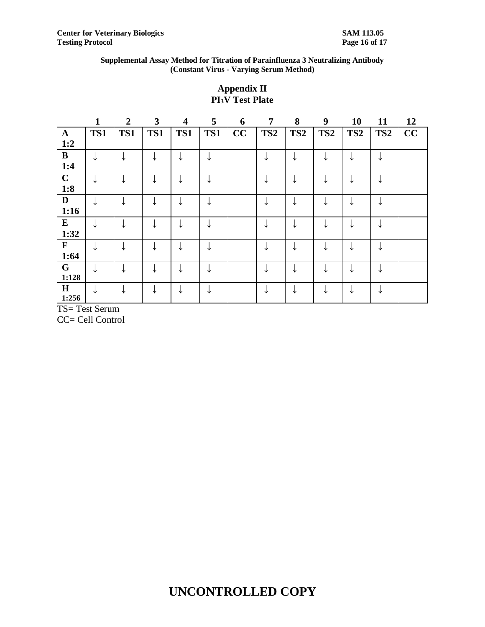## **Appendix II PI3V Test Plate**

|              | $\mathbf{1}$ | $\overline{2}$ | 3   | $\overline{\mathbf{4}}$ | 5   | 6  | 7               | 8               | 9               | 10              | 11              | 12 |
|--------------|--------------|----------------|-----|-------------------------|-----|----|-----------------|-----------------|-----------------|-----------------|-----------------|----|
| $\mathbf{A}$ | TS1          | TS1            | TS1 | TS1                     | TS1 | CC | TS <sub>2</sub> | TS <sub>2</sub> | TS <sub>2</sub> | TS <sub>2</sub> | TS <sub>2</sub> | CC |
| 1:2          |              |                |     |                         |     |    |                 |                 |                 |                 |                 |    |
| $\bf{B}$     | ↓            | ↵              |     |                         |     |    |                 |                 |                 | ↓               |                 |    |
| 1:4          |              |                |     |                         |     |    |                 |                 |                 |                 |                 |    |
| $\mathbf C$  |              |                |     |                         |     |    |                 |                 |                 |                 |                 |    |
| 1:8          |              |                |     |                         |     |    |                 |                 |                 |                 |                 |    |
| $\mathbf{D}$ | ↓            |                |     |                         |     |    |                 |                 |                 | ↓               |                 |    |
| 1:16         |              |                |     |                         |     |    |                 |                 |                 |                 |                 |    |
| ${\bf E}$    | ↓            |                |     |                         |     |    |                 |                 |                 | ◡               |                 |    |
| 1:32         |              |                |     |                         |     |    |                 |                 |                 |                 |                 |    |
| $\mathbf{F}$ | ↓            |                |     |                         |     |    |                 |                 |                 | ↓               |                 |    |
| 1:64         |              |                |     |                         |     |    |                 |                 |                 |                 |                 |    |
| G            |              |                |     |                         |     |    |                 |                 |                 |                 |                 |    |
| 1:128        |              |                |     |                         |     |    |                 |                 |                 |                 |                 |    |
| H            |              |                |     |                         |     |    |                 |                 |                 |                 |                 |    |
| 1:256        |              |                |     |                         |     |    |                 |                 |                 |                 |                 |    |

TS= Test Serum

CC= Cell Control